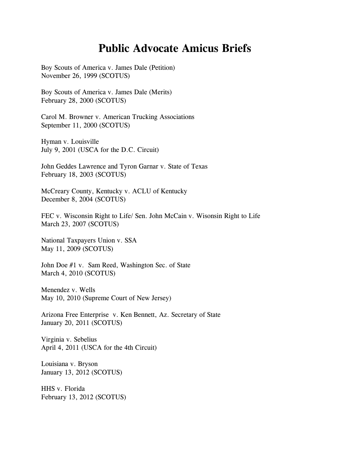## **Public Advocate Amicus Briefs**

Boy Scouts of America v. James Dale (Petition) November 26, 1999 (SCOTUS)

Boy Scouts of America v. James Dale (Merits) February 28, 2000 (SCOTUS)

Carol M. Browner v. American Trucking Associations September 11, 2000 (SCOTUS)

Hyman v. Louisville July 9, 2001 (USCA for the D.C. Circuit)

John Geddes Lawrence and Tyron Garnar v. State of Texas February 18, 2003 (SCOTUS)

McCreary County, Kentucky v. ACLU of Kentucky December 8, 2004 (SCOTUS)

FEC v. Wisconsin Right to Life/ Sen. John McCain v. Wisonsin Right to Life March 23, 2007 (SCOTUS)

National Taxpayers Union v. SSA May 11, 2009 (SCOTUS)

John Doe #1 v. Sam Reed, Washington Sec. of State March 4, 2010 (SCOTUS)

Menendez v. Wells May 10, 2010 (Supreme Court of New Jersey)

Arizona Free Enterprise v. Ken Bennett, Az. Secretary of State January 20, 2011 (SCOTUS)

Virginia v. Sebelius April 4, 2011 (USCA for the 4th Circuit)

Louisiana v. Bryson January 13, 2012 (SCOTUS)

HHS v. Florida February 13, 2012 (SCOTUS)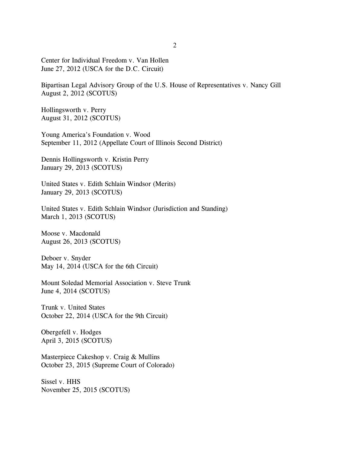Center for Individual Freedom v. Van Hollen June 27, 2012 (USCA for the D.C. Circuit)

Bipartisan Legal Advisory Group of the U.S. House of Representatives v. Nancy Gill August 2, 2012 (SCOTUS)

Hollingsworth v. Perry August 31, 2012 (SCOTUS)

Young America's Foundation v. Wood September 11, 2012 (Appellate Court of Illinois Second District)

Dennis Hollingsworth v. Kristin Perry January 29, 2013 (SCOTUS)

United States v. Edith Schlain Windsor (Merits) January 29, 2013 (SCOTUS)

United States v. Edith Schlain Windsor (Jurisdiction and Standing) March 1, 2013 (SCOTUS)

Moose v. Macdonald August 26, 2013 (SCOTUS)

Deboer v. Snyder May 14, 2014 (USCA for the 6th Circuit)

Mount Soledad Memorial Association v. Steve Trunk June 4, 2014 (SCOTUS)

Trunk v. United States October 22, 2014 (USCA for the 9th Circuit)

Obergefell v. Hodges April 3, 2015 (SCOTUS)

Masterpiece Cakeshop v. Craig & Mullins October 23, 2015 (Supreme Court of Colorado)

Sissel v. HHS November 25, 2015 (SCOTUS)